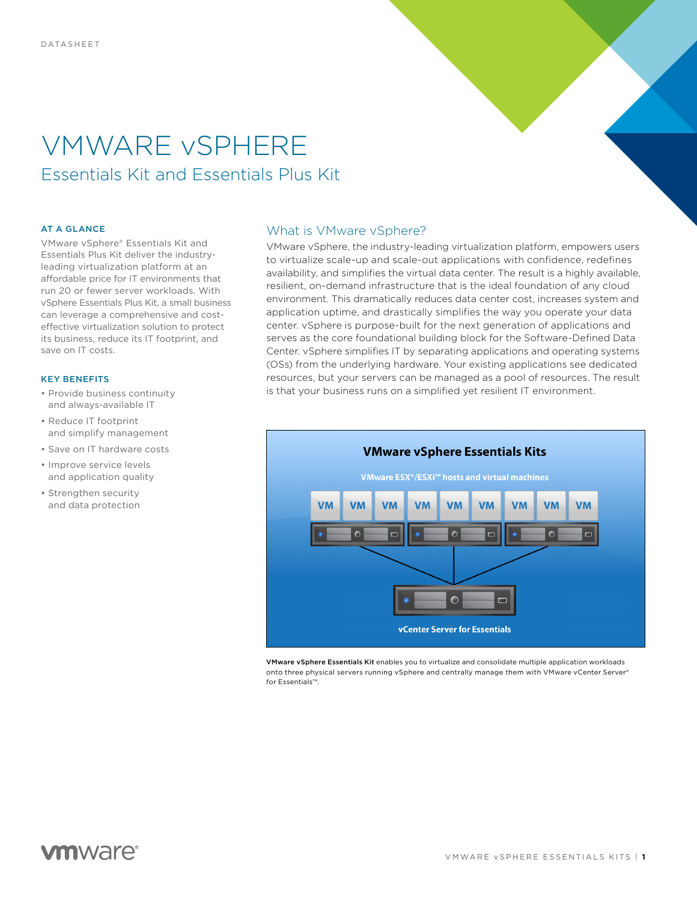# VMWARE vSPHERE Essentials Kit and Essentials Plus Kit

### AT A GLANCE

VMware vSphere® Essentials Kit and Essentials Plus Kit deliver the industryleading virtualization platform at an affordable price for IT environments that run 20 or fewer server workloads. With vSphere Essentials Plus Kit, a small business can leverage a comprehensive and costeffective virtualization solution to protect its business, reduce its IT footprint, and save on IT costs.

### KEY BENEFITS

- Provide business continuity and always-available IT
- Reduce IT footprint and simplify management
- Save on IT hardware costs
- Improve service levels and application quality
- Strengthen security and data protection

# What is VMware vSphere?

VMware vSphere, the industry-leading virtualization platform, empowers users to virtualize scale-up and scale-out applications with confidence, redefines availability, and simplifies the virtual data center. The result is a highly available, resilient, on-demand infrastructure that is the ideal foundation of any cloud environment. This dramatically reduces data center cost, increases system and application uptime, and drastically simplifies the way you operate your data center. vSphere is purpose-built for the next generation of applications and serves as the core foundational building block for the Software-Defined Data Center. vSphere simplifies IT by separating applications and operating systems (OSs) from the underlying hardware. Your existing applications see dedicated resources, but your servers can be managed as a pool of resources. The result is that your business runs on a simplified yet resilient IT environment.



VMware vSphere Essentials Kit enables you to virtualize and consolidate multiple application workloads onto three physical servers running vSphere and centrally manage them with VMware vCenter Server® for Essentials™.

# **vm**ware<sup>®</sup>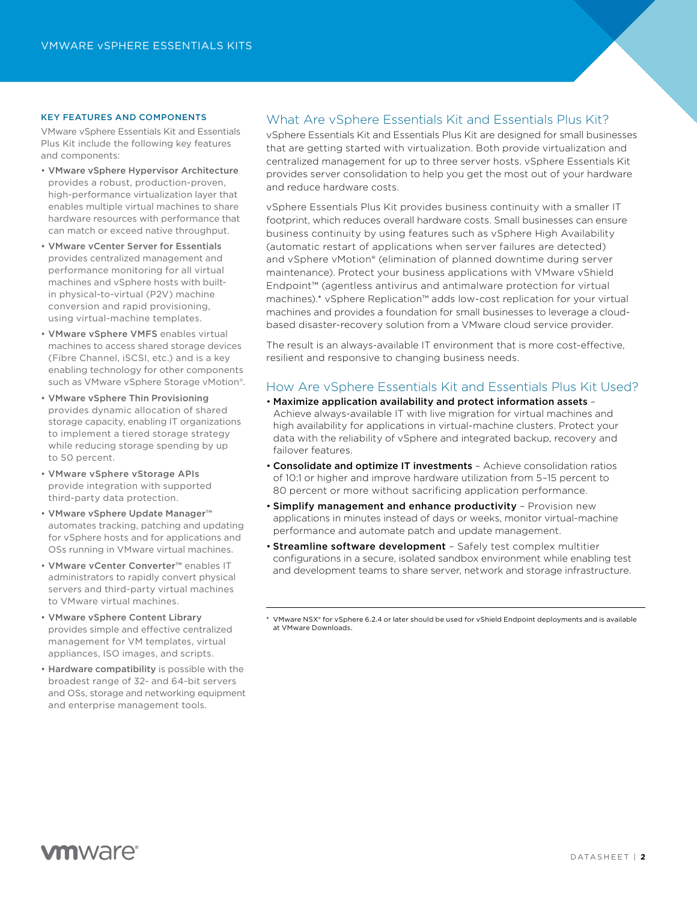### KEY FEATURES AND COMPONENTS

VMware vSphere Essentials Kit and Essentials Plus Kit include the following key features and components:

- VMware vSphere Hypervisor Architecture provides a robust, production-proven, high-performance virtualization layer that enables multiple virtual machines to share hardware resources with performance that can match or exceed native throughput.
- VMware vCenter Server for Essentials provides centralized management and performance monitoring for all virtual machines and vSphere hosts with builtin physical-to-virtual (P2V) machine conversion and rapid provisioning, using virtual-machine templates.
- VMware vSphere VMFS enables virtual machines to access shared storage devices (Fibre Channel, iSCSI, etc.) and is a key enabling technology for other components such as VMware vSphere Storage vMotion®.
- VMware vSphere Thin Provisioning provides dynamic allocation of shared storage capacity, enabling IT organizations to implement a tiered storage strategy while reducing storage spending by up to 50 percent.
- VMware vSphere vStorage APIs provide integration with supported third-party data protection.
- VMware vSphere Update Manager™ automates tracking, patching and updating for vSphere hosts and for applications and OSs running in VMware virtual machines.
- VMware vCenter Converter™ enables IT administrators to rapidly convert physical servers and third-party virtual machines to VMware virtual machines.
- VMware vSphere Content Library provides simple and effective centralized management for VM templates, virtual appliances, ISO images, and scripts.
- Hardware compatibility is possible with the broadest range of 32- and 64-bit servers and OSs, storage and networking equipment and enterprise management tools.

## What Are vSphere Essentials Kit and Essentials Plus Kit?

vSphere Essentials Kit and Essentials Plus Kit are designed for small businesses that are getting started with virtualization. Both provide virtualization and centralized management for up to three server hosts. vSphere Essentials Kit provides server consolidation to help you get the most out of your hardware and reduce hardware costs.

vSphere Essentials Plus Kit provides business continuity with a smaller IT footprint, which reduces overall hardware costs. Small businesses can ensure business continuity by using features such as vSphere High Availability (automatic restart of applications when server failures are detected) and vSphere vMotion® (elimination of planned downtime during server maintenance). Protect your business applications with VMware vShield Endpoint™ (agentless antivirus and antimalware protection for virtual machines).\* vSphere Replication™ adds low-cost replication for your virtual machines and provides a foundation for small businesses to leverage a cloudbased disaster-recovery solution from a VMware cloud service provider.

The result is an always-available IT environment that is more cost-effective, resilient and responsive to changing business needs.

## How Are vSphere Essentials Kit and Essentials Plus Kit Used?

- Maximize application availability and protect information assets Achieve always-available IT with live migration for virtual machines and high availability for applications in virtual-machine clusters. Protect your data with the reliability of vSphere and integrated backup, recovery and failover features.
- Consolidate and optimize IT investments Achieve consolidation ratios of 10:1 or higher and improve hardware utilization from 5–15 percent to 80 percent or more without sacrificing application performance.
- Simplify management and enhance productivity Provision new applications in minutes instead of days or weeks, monitor virtual-machine performance and automate patch and update management.
- Streamline software development Safely test complex multitier configurations in a secure, isolated sandbox environment while enabling test and development teams to share server, network and storage infrastructure.

<sup>\*</sup> VMware NSX® for vSphere 6.2.4 or later should be used for vShield Endpoint deployments and is available at VMware Downloads.